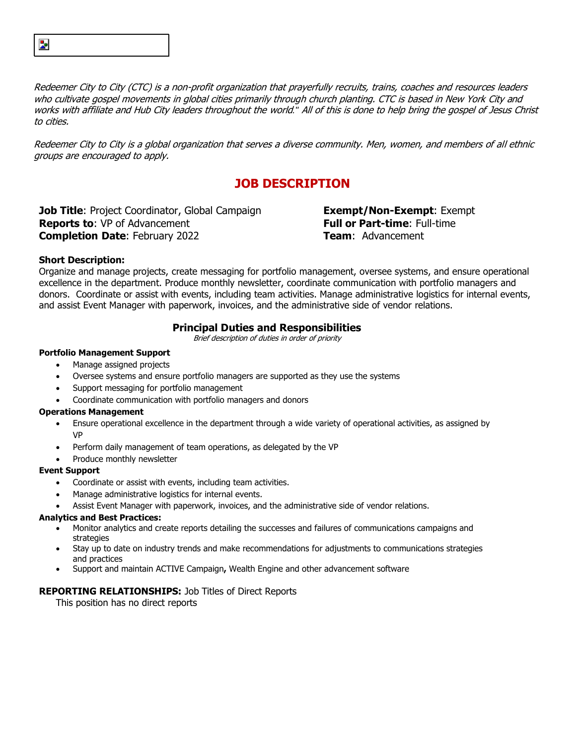Redeemer City to City (CTC) is a non-profit organization that prayerfully recruits, trains, coaches and resources leaders who cultivate gospel movements in global cities primarily through church planting. CTC is based in New York City and works with affiliate and Hub City leaders throughout the world*."* All of this is done to help bring the gospel of Jesus Christ to cities.

Redeemer City to City is a global organization that serves a diverse community. Men, women, and members of all ethnic groups are encouraged to apply.

# **JOB DESCRIPTION**

**Job Title**: Project Coordinator, Global Campaign **Exempt/Non-Exempt**: Exempt **Reports to:** VP of Advancement **Full or Part-time**: Full-time **Completion Date**: February 2022 **Team**: Advancement

## **Short Description:**

Þ,

Organize and manage projects, create messaging for portfolio management, oversee systems, and ensure operational excellence in the department. Produce monthly newsletter, coordinate communication with portfolio managers and donors. Coordinate or assist with events, including team activities. Manage administrative logistics for internal events, and assist Event Manager with paperwork, invoices, and the administrative side of vendor relations.

## **Principal Duties and Responsibilities**

Brief description of duties in order of priority

## **Portfolio Management Support**

- Manage assigned projects
- Oversee systems and ensure portfolio managers are supported as they use the systems
- Support messaging for portfolio management
- Coordinate communication with portfolio managers and donors

#### **Operations Management**

- Ensure operational excellence in the department through a wide variety of operational activities, as assigned by VP
- Perform daily management of team operations, as delegated by the VP
- Produce monthly newsletter

#### **Event Support**

- Coordinate or assist with events, including team activities.
- Manage administrative logistics for internal events.
- Assist Event Manager with paperwork, invoices, and the administrative side of vendor relations.

#### **Analytics and Best Practices:**

- Monitor analytics and create reports detailing the successes and failures of communications campaigns and strategies
- Stay up to date on industry trends and make recommendations for adjustments to communications strategies and practices
- Support and maintain ACTIVE Campaign**,** Wealth Engine and other advancement software

## **REPORTING RELATIONSHIPS:** Job Titles of Direct Reports

This position has no direct reports